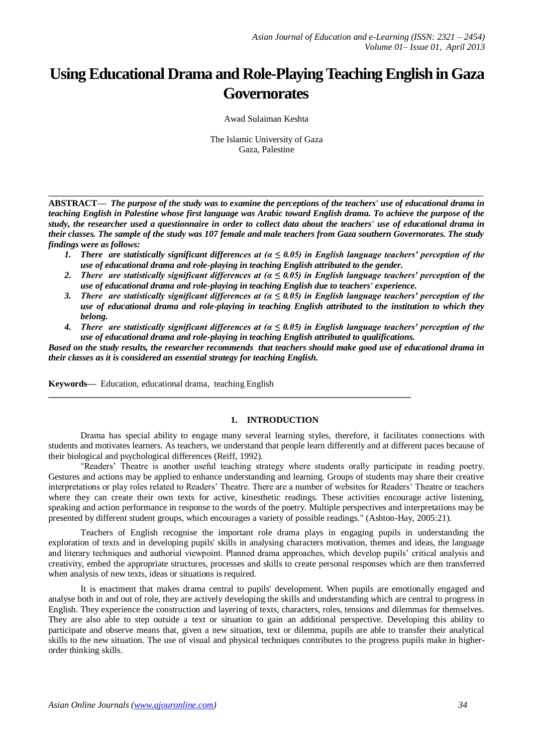# **Using Educational Drama and Role-Playing Teaching English in Gaza Governorates**

Awad Sulaiman Keshta

The Islamic University of Gaza Gaza, Palestine

**ABSTRACT—** *The purpose of the study was to examine the perceptions of the teachers' use of educational drama in teaching English in Palestine whose first language was Arabic toward English drama. To achieve the purpose of the study, the researcher used a questionnaire in order to collect data about the teachers' use of educational drama in their classes. The sample of the study was 107 female and male teachers from Gaza southern Governorates. The study findings were as follows:*

**\_\_\_\_\_\_\_\_\_\_\_\_\_\_\_\_\_\_\_\_\_\_\_\_\_\_\_\_\_\_\_\_\_\_\_\_\_\_\_\_\_\_\_\_\_\_\_\_\_\_\_\_\_\_\_\_\_\_\_\_\_\_\_\_\_\_\_\_\_\_\_\_\_\_\_\_\_\_\_\_\_**

- *1. There are statistically significant differences at (α ≤ 0.05) in English language teachers' perception of the use of educational drama and role-playing in teaching English attributed to the gender.*
- *2. There are statistically significant differences at (α ≤ 0.05) in English language teachers' perception of the use of educational drama and role-playing in teaching English due to teachers' experience.*
- *3. There are statistically significant differences at (α ≤ 0.05) in English language teachers' perception of the use of educational drama and role-playing in teaching English attributed to the institution to which they belong.*
- *4. There are statistically significant differences at (α ≤ 0.05) in English language teachers' perception of the use of educational drama and role-playing in teaching English attributed to qualifications.*

*Based on the study results, the researcher recommends that teachers should make good use of educational drama in their classes as it is considered an essential strategy for teaching English.*

**\_\_\_\_\_\_\_\_\_\_\_\_\_\_\_\_\_\_\_\_\_\_\_\_\_\_\_\_\_\_\_\_\_\_\_\_\_\_\_\_\_\_\_\_\_\_\_\_\_\_\_\_\_\_\_\_\_\_\_\_\_\_\_\_\_\_\_\_\_\_\_\_\_\_\_\_\_\_\_\_\_**

**Keywords—** Education, educational drama, teaching English

## **1. INTRODUCTION**

Drama has special ability to engage many several learning styles, therefore, it facilitates connections with students and motivates learners. As teachers, we understand that people learn differently and at different paces because of their biological and psychological differences (Reiff, 1992).

"Readers' Theatre is another useful teaching strategy where students orally participate in reading poetry. Gestures and actions may be applied to enhance understanding and learning. Groups of students may share their creative interpretations or play roles related to Readers' Theatre. There are a number of websites for Readers' Theatre or teachers where they can create their own texts for active, kinesthetic readings. These activities encourage active listening, speaking and action performance in response to the words of the poetry. Multiple perspectives and interpretations may be presented by different student groups, which encourages a variety of possible readings." (Ashton-Hay, 2005:21).

Teachers of English recognise the important role drama plays in engaging pupils in understanding the exploration of texts and in developing pupils' skills in analysing characters motivation, themes and ideas, the language and literary techniques and authorial viewpoint. Planned drama approaches, which develop pupils' critical analysis and creativity, embed the appropriate structures, processes and skills to create personal responses which are then transferred when analysis of new texts, ideas or situations is required.

It is enactment that makes drama central to pupils' development. When pupils are emotionally engaged and analyse both in and out of role, they are actively developing the skills and understanding which are central to progress in English. They experience the construction and layering of texts, characters, roles, tensions and dilemmas for themselves. They are also able to step outside a text or situation to gain an additional perspective. Developing this ability to participate and observe means that, given a new situation, text or dilemma, pupils are able to transfer their analytical skills to the new situation. The use of visual and physical techniques contributes to the progress pupils make in higherorder thinking skills.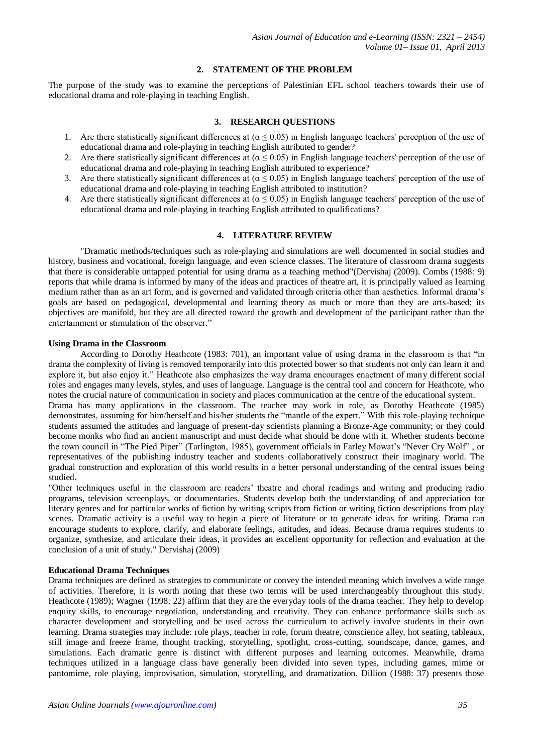# **2. STATEMENT OF THE PROBLEM**

The purpose of the study was to examine the perceptions of Palestinian EFL school teachers towards their use of educational drama and role-playing in teaching English.

## **3. RESEARCH QUESTIONS**

- 1. Are there statistically significant differences at ( $\alpha \le 0.05$ ) in English language teachers' perception of the use of educational drama and role-playing in teaching English attributed to gender?
- 2. Are there statistically significant differences at ( $\alpha \le 0.05$ ) in English language teachers' perception of the use of educational drama and role-playing in teaching English attributed to experience?
- 3. Are there statistically significant differences at  $(\alpha \le 0.05)$  in English language teachers' perception of the use of educational drama and role-playing in teaching English attributed to institution?
- 4. Are there statistically significant differences at ( $\alpha \le 0.05$ ) in English language teachers' perception of the use of educational drama and role-playing in teaching English attributed to qualifications?

# **4. LITERATURE REVIEW**

"Dramatic methods/techniques such as role-playing and simulations are well documented in social studies and history, business and vocational, foreign language, and even science classes. The literature of classroom drama suggests that there is considerable untapped potential for using drama as a teaching method"(Dervishaj (2009). Combs (1988: 9) reports that while drama is informed by many of the ideas and practices of theatre art, it is principally valued as learning medium rather than as an art form, and is governed and validated through criteria other than aesthetics. Informal drama's goals are based on pedagogical, developmental and learning theory as much or more than they are arts-based; its objectives are manifold, but they are all directed toward the growth and development of the participant rather than the entertainment or stimulation of the observer."

#### **Using Drama in the Classroom**

According to Dorothy Heathcote (1983: 701), an important value of using drama in the classroom is that "in drama the complexity of living is removed temporarily into this protected bower so that students not only can learn it and explore it, but also enjoy it." Heathcote also emphasizes the way drama encourages enactment of many different social roles and engages many levels, styles, and uses of language. Language is the central tool and concern for Heathcote, who notes the crucial nature of communication in society and places communication at the centre of the educational system. Drama has many applications in the classroom. The teacher may work in role, as Dorothy Heathcote (1985)

demonstrates, assuming for him/herself and his/her students the "mantle of the expert." With this role-playing technique students assumed the attitudes and language of present-day scientists planning a Bronze-Age community; or they could become monks who find an ancient manuscript and must decide what should be done with it. Whether students become the town council in "The Pied Piper" (Tarlington, 1985), government officials in Farley Mowat's "Never Cry Wolf" , or representatives of the publishing industry teacher and students collaboratively construct their imaginary world. The gradual construction and exploration of this world results in a better personal understanding of the central issues being studied.

"Other techniques useful in the classroom are readers' theatre and choral readings and writing and producing radio programs, television screenplays, or documentaries. Students develop both the understanding of and appreciation for literary genres and for particular works of fiction by writing scripts from fiction or writing fiction descriptions from play scenes. Dramatic activity is a useful way to begin a piece of literature or to generate ideas for writing. Drama can encourage students to explore, clarify, and elaborate feelings, attitudes, and ideas. Because drama requires students to organize, synthesize, and articulate their ideas, it provides an excellent opportunity for reflection and evaluation at the conclusion of a unit of study." Dervishaj (2009)

## **Educational Drama Techniques**

Drama techniques are defined as strategies to communicate or convey the intended meaning which involves a wide range of activities. Therefore, it is worth noting that these two terms will be used interchangeably throughout this study. Heathcote (1989); Wagner (1998: 22) affirm that they are the everyday tools of the drama teacher. They help to develop enquiry skills, to encourage negotiation, understanding and creativity. They can enhance performance skills such as character development and storytelling and be used across the curriculum to actively involve students in their own learning. Drama strategies may include: role plays, teacher in role, forum theatre, conscience alley, hot seating, tableaux, still image and freeze frame, thought tracking, storytelling, spotlight, cross-cutting, soundscape, dance, games, and simulations. Each dramatic genre is distinct with different purposes and learning outcomes. Meanwhile, drama techniques utilized in a language class have generally been divided into seven types, including games, mime or pantomime, role playing, improvisation, simulation, storytelling, and dramatization. Dillion (1988: 37) presents those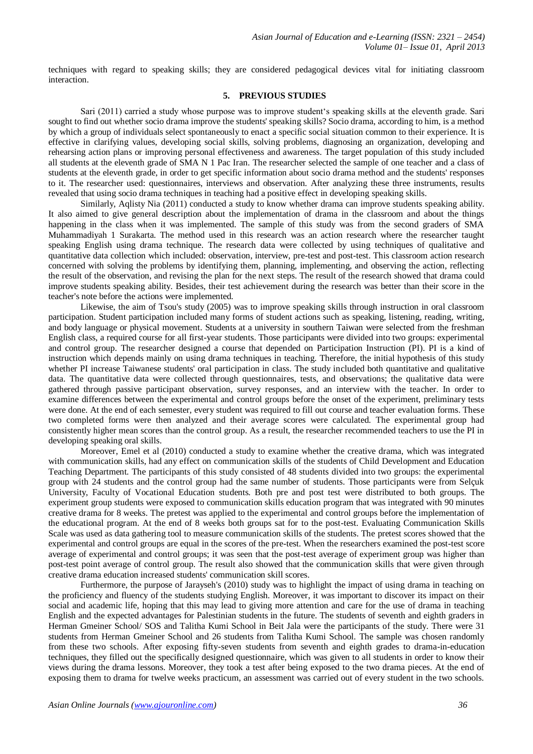techniques with regard to speaking skills; they are considered pedagogical devices vital for initiating classroom interaction.

## **5. PREVIOUS STUDIES**

Sari (2011) carried a study whose purpose was to improve student's speaking skills at the eleventh grade. Sari sought to find out whether socio drama improve the students' speaking skills? Socio drama, according to him, is a method by which a group of individuals select spontaneously to enact a specific social situation common to their experience. It is effective in clarifying values, developing social skills, solving problems, diagnosing an organization, developing and rehearsing action plans or improving personal effectiveness and awareness. The target population of this study included all students at the eleventh grade of SMA N 1 Pac Iran. The researcher selected the sample of one teacher and a class of students at the eleventh grade, in order to get specific information about socio drama method and the students' responses to it. The researcher used: questionnaires, interviews and observation. After analyzing these three instruments, results revealed that using socio drama techniques in teaching had a positive effect in developing speaking skills.

Similarly, Aqlisty Nia (2011) conducted a study to know whether drama can improve students speaking ability. It also aimed to give general description about the implementation of drama in the classroom and about the things happening in the class when it was implemented. The sample of this study was from the second graders of SMA Muhammadiyah 1 Surakarta. The method used in this research was an action research where the researcher taught speaking English using drama technique. The research data were collected by using techniques of qualitative and quantitative data collection which included: observation, interview, pre-test and post-test. This classroom action research concerned with solving the problems by identifying them, planning, implementing, and observing the action, reflecting the result of the observation, and revising the plan for the next steps. The result of the research showed that drama could improve students speaking ability. Besides, their test achievement during the research was better than their score in the teacher's note before the actions were implemented.

Likewise, the aim of Tsou's study (2005) was to improve speaking skills through instruction in oral classroom participation. Student participation included many forms of student actions such as speaking, listening, reading, writing, and body language or physical movement. Students at a university in southern Taiwan were selected from the freshman English class, a required course for all first-year students. Those participants were divided into two groups: experimental and control group. The researcher designed a course that depended on Participation Instruction (PI). PI is a kind of instruction which depends mainly on using drama techniques in teaching. Therefore, the initial hypothesis of this study whether PI increase Taiwanese students' oral participation in class. The study included both quantitative and qualitative data. The quantitative data were collected through questionnaires, tests, and observations; the qualitative data were gathered through passive participant observation, survey responses, and an interview with the teacher. In order to examine differences between the experimental and control groups before the onset of the experiment, preliminary tests were done. At the end of each semester, every student was required to fill out course and teacher evaluation forms. These two completed forms were then analyzed and their average scores were calculated. The experimental group had consistently higher mean scores than the control group. As a result, the researcher recommended teachers to use the PI in developing speaking oral skills.

Moreover, Emel et al (2010) conducted a study to examine whether the creative drama, which was integrated with communication skills, had any effect on communication skills of the students of Child Development and Education Teaching Department. The participants of this study consisted of 48 students divided into two groups: the experimental group with 24 students and the control group had the same number of students. Those participants were from Selçuk University, Faculty of Vocational Education students. Both pre and post test were distributed to both groups. The experiment group students were exposed to communication skills education program that was integrated with 90 minutes creative drama for 8 weeks. The pretest was applied to the experimental and control groups before the implementation of the educational program. At the end of 8 weeks both groups sat for to the post-test. Evaluating Communication Skills Scale was used as data gathering tool to measure communication skills of the students. The pretest scores showed that the experimental and control groups are equal in the scores of the pre-test. When the researchers examined the post-test score average of experimental and control groups; it was seen that the post-test average of experiment group was higher than post-test point average of control group. The result also showed that the communication skills that were given through creative drama education increased students' communication skill scores.

Furthermore, the purpose of Jarayseh's (2010) study was to highlight the impact of using drama in teaching on the proficiency and fluency of the students studying English. Moreover, it was important to discover its impact on their social and academic life, hoping that this may lead to giving more attention and care for the use of drama in teaching English and the expected advantages for Palestinian students in the future. The students of seventh and eighth graders in Herman Gmeiner School/ SOS and Talitha Kumi School in Beit Jala were the participants of the study. There were 31 students from Herman Gmeiner School and 26 students from Talitha Kumi School. The sample was chosen randomly from these two schools. After exposing fifty-seven students from seventh and eighth grades to drama-in-education techniques, they filled out the specifically designed questionnaire, which was given to all students in order to know their views during the drama lessons. Moreover, they took a test after being exposed to the two drama pieces. At the end of exposing them to drama for twelve weeks practicum, an assessment was carried out of every student in the two schools.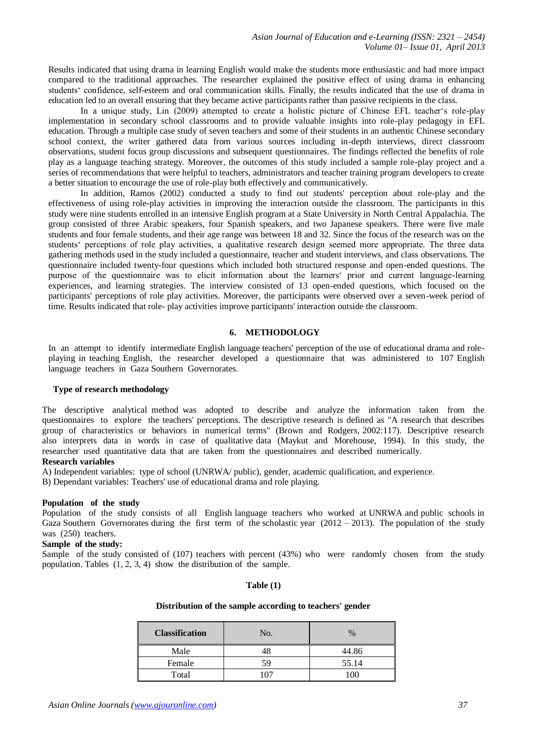Results indicated that using drama in learning English would make the students more enthusiastic and had more impact compared to the traditional approaches. The researcher explained the positive effect of using drama in enhancing students' confidence, self-esteem and oral communication skills. Finally, the results indicated that the use of drama in education led to an overall ensuring that they became active participants rather than passive recipients in the class.

In a unique study, Lin (2009) attempted to create a holistic picture of Chinese EFL teacher's role-play implementation in secondary school classrooms and to provide valuable insights into role-play pedagogy in EFL education. Through a multiple case study of seven teachers and some of their students in an authentic Chinese secondary school context, the writer gathered data from various sources including in-depth interviews, direct classroom observations, student focus group discussions and subsequent questionnaires. The findings reflected the benefits of role play as a language teaching strategy. Moreover, the outcomes of this study included a sample role-play project and a series of recommendations that were helpful to teachers, administrators and teacher training program developers to create a better situation to encourage the use of role-play both effectively and communicatively.

In addition, Ramos (2002) conducted a study to find out students' perception about role-play and the effectiveness of using role-play activities in improving the interaction outside the classroom. The participants in this study were nine students enrolled in an intensive English program at a State University in North Central Appalachia. The group consisted of three Arabic speakers, four Spanish speakers, and two Japanese speakers. There were five male students and four female students, and their age range was between 18 and 32. Since the focus of the research was on the students' perceptions of role play activities, a qualitative research design seemed more appropriate. The three data gathering methods used in the study included a questionnaire, teacher and student interviews, and class observations. The questionnaire included twenty-four questions which included both structured response and open-ended questions. The purpose of the questionnaire was to elicit information about the learners' prior and current language-learning experiences, and learning strategies. The interview consisted of 13 open-ended questions, which focused on the participants' perceptions of role play activities. Moreover, the participants were observed over a seven-week period of time. Results indicated that role- play activities improve participants' interaction outside the classroom.

# **6. METHODOLOGY**

In an attempt to identify intermediate English language teachers' perception of the use of educational drama and roleplaying in teaching English, the researcher developed a questionnaire that was administered to 107 English language teachers in Gaza Southern Governorates.

#### **Type of research methodology**

The descriptive analytical method was adopted to describe and analyze the information taken from the questionnaires to explore the teachers' perceptions. The descriptive research is defined as "A research that describes group of characteristics or behaviors in numerical terms" (Brown and Rodgers, 2002:117). Descriptive research also interprets data in words in case of qualitative data (Maykut and Morehouse, 1994). In this study, the researcher used quantitative data that are taken from the questionnaires and described numerically.

#### **Research variables**

A) Independent variables: type of school (UNRWA/ public), gender, academic qualification, and experience.

B) Dependant variables: Teachers' use of educational drama and role playing.

#### **Population of the study**

Population of the study consists of all English language teachers who worked at UNRWA and public schools in Gaza Southern Governorates during the first term of the scholastic year  $(2012 - 2013)$ . The population of the study was (250) teachers.

## **Sample of the study:**

Sample of the study consisted of (107) teachers with percent (43%) who were randomly chosen from the study population. Tables (1, 2, 3, 4) show the distribution of the sample.

#### **Table (1)**

## **Distribution of the sample according to teachers' gender**

| <b>Classification</b> | No. | $\%$  |
|-----------------------|-----|-------|
| Male                  | 18  | 44.86 |
| Female                | 59  | 55.14 |
| Total                 | 107 |       |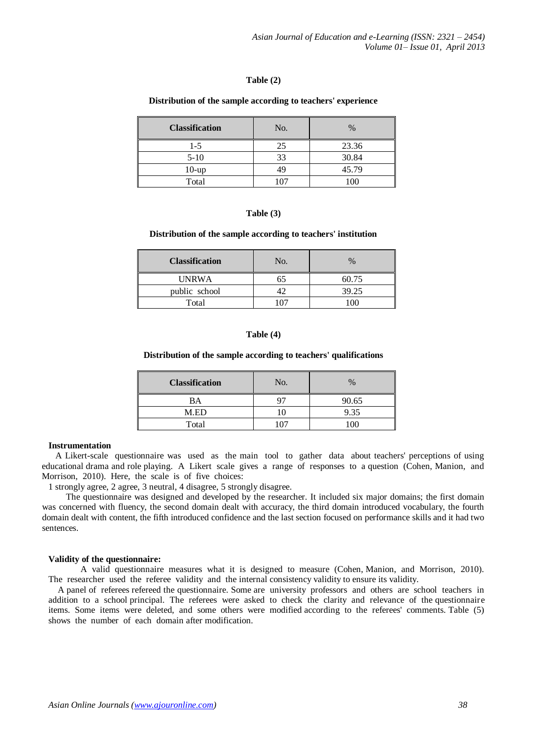#### **Table (2)**

#### **Distribution of the sample according to teachers' experience**

| <b>Classification</b> | No. | $\%$  |  |
|-----------------------|-----|-------|--|
| $1-5$                 | 25  | 23.36 |  |
| $5-10$                | 33  | 30.84 |  |
| $10$ -up              | 49  | 45.79 |  |
| Total                 |     | 100   |  |

## **Table (3)**

#### **Distribution of the sample according to teachers' institution**

| <b>Classification</b> | No. | $\%$  |
|-----------------------|-----|-------|
| <b>UNRWA</b>          |     | 60.75 |
| public school         |     | 39.25 |
| Total                 |     |       |

#### **Table (4)**

#### **Distribution of the sample according to teachers' qualifications**

| <b>Classification</b> | No. | $\%$           |
|-----------------------|-----|----------------|
| BA                    |     | 90.65          |
| M.ED                  |     | 9.35           |
| Total                 |     | 0 <sup>0</sup> |

#### **Instrumentation**

 A Likert-scale questionnaire was used as the main tool to gather data about teachers' perceptions of using educational drama and role playing. A Likert scale gives a range of responses to a question (Cohen, Manion, and Morrison, 2010). Here, the scale is of five choices:

1 strongly agree, 2 agree, 3 neutral, 4 disagree, 5 strongly disagree.

 The questionnaire was designed and developed by the researcher. It included six major domains; the first domain was concerned with fluency, the second domain dealt with accuracy, the third domain introduced vocabulary, the fourth domain dealt with content, the fifth introduced confidence and the last section focused on performance skills and it had two sentences.

#### **Validity of the questionnaire:**

A valid questionnaire measures what it is designed to measure (Cohen, Manion, and Morrison, 2010). The researcher used the referee validity and the internal consistency validity to ensure its validity.

 A panel of referees refereed the questionnaire. Some are university professors and others are school teachers in addition to a school principal. The referees were asked to check the clarity and relevance of the questionnaire items. Some items were deleted, and some others were modified according to the referees' comments. Table (5) shows the number of each domain after modification.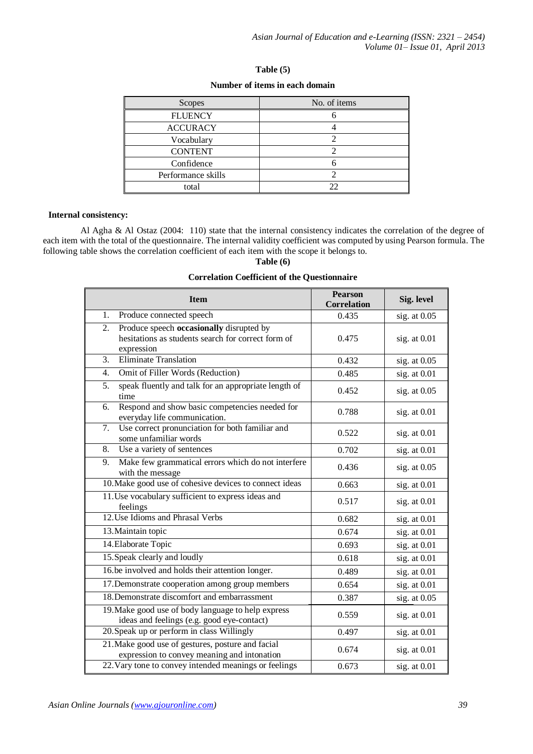| Table $(5)$ |  |
|-------------|--|
|-------------|--|

## **Number of items in each domain**

| Scopes             | No. of items |
|--------------------|--------------|
| <b>FLUENCY</b>     |              |
| <b>ACCURACY</b>    |              |
| Vocabulary         |              |
| <b>CONTENT</b>     |              |
| Confidence         |              |
| Performance skills |              |
| total              |              |

## **Internal consistency:**

Al Agha & Al Ostaz (2004: 110) state that the internal consistency indicates the correlation of the degree of each item with the total of the questionnaire. The internal validity coefficient was computed by using Pearson formula. The following table shows the correlation coefficient of each item with the scope it belongs to.

# **Table (6)**

## **Correlation Coefficient of the Questionnaire**

| <b>Item</b>                                                                                                        | <b>Pearson</b><br><b>Correlation</b> | Sig. level     |
|--------------------------------------------------------------------------------------------------------------------|--------------------------------------|----------------|
| 1.<br>Produce connected speech                                                                                     | 0.435                                | sig. at $0.05$ |
| Produce speech occasionally disrupted by<br>2.<br>hesitations as students search for correct form of<br>expression | 0.475                                | sig. at $0.01$ |
| Eliminate Translation<br>3.                                                                                        | 0.432                                | sig. at $0.05$ |
| Omit of Filler Words (Reduction)<br>4.                                                                             | 0.485                                | sig. at 0.01   |
| 5.<br>speak fluently and talk for an appropriate length of<br>time                                                 | 0.452                                | sig. at $0.05$ |
| Respond and show basic competencies needed for<br>6.<br>everyday life communication.                               | 0.788                                | sig. at $0.01$ |
| Use correct pronunciation for both familiar and<br>7.<br>some unfamiliar words                                     | 0.522                                | sig. at $0.01$ |
| Use a variety of sentences<br>8.                                                                                   | 0.702                                | sig. at 0.01   |
| Make few grammatical errors which do not interfere<br>9.<br>with the message                                       | 0.436                                | sig. at $0.05$ |
| 10. Make good use of cohesive devices to connect ideas                                                             | 0.663                                | sig. at 0.01   |
| 11. Use vocabulary sufficient to express ideas and<br>feelings                                                     | 0.517                                | sig. at $0.01$ |
| 12. Use Idioms and Phrasal Verbs                                                                                   | 0.682                                | sig. at 0.01   |
| 13. Maintain topic                                                                                                 | 0.674                                | sig. at 0.01   |
| 14. Elaborate Topic                                                                                                | 0.693                                | sig. at 0.01   |
| 15. Speak clearly and loudly                                                                                       | 0.618                                | sig. at $0.01$ |
| 16.be involved and holds their attention longer.                                                                   | 0.489                                | sig. at 0.01   |
| 17. Demonstrate cooperation among group members                                                                    | 0.654                                | sig. at $0.01$ |
| 18. Demonstrate discomfort and embarrassment                                                                       | 0.387                                | sig. at 0.05   |
| 19. Make good use of body language to help express<br>ideas and feelings (e.g. good eye-contact)                   | 0.559                                | sig. at $0.01$ |
| 20. Speak up or perform in class Willingly                                                                         | 0.497                                | sig. at $0.01$ |
| 21. Make good use of gestures, posture and facial<br>expression to convey meaning and intonation                   | 0.674                                | sig. at 0.01   |
| 22. Vary tone to convey intended meanings or feelings                                                              | 0.673                                | sig. at $0.01$ |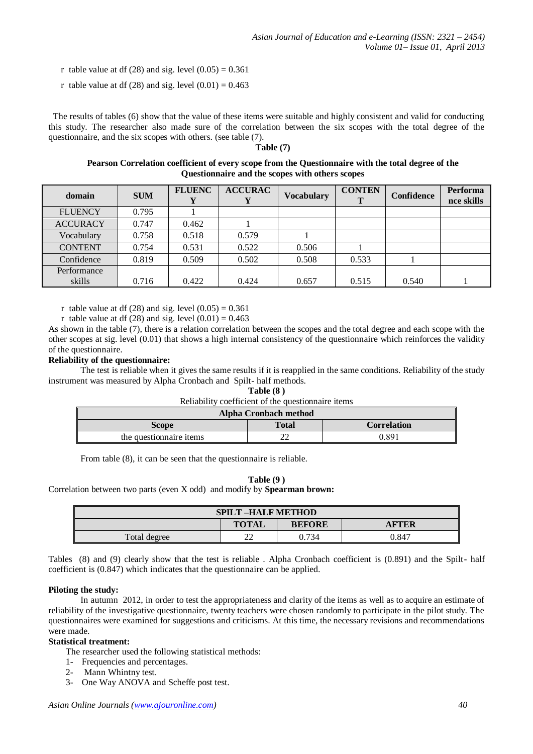- r table value at df (28) and sig. level  $(0.05) = 0.361$
- r table value at df (28) and sig. level  $(0.01) = 0.463$

 The results of tables (6) show that the value of these items were suitable and highly consistent and valid for conducting this study. The researcher also made sure of the correlation between the six scopes with the total degree of the questionnaire, and the six scopes with others. (see table (7).

# **Table (7)**

**Pearson Correlation coefficient of every scope from the Questionnaire with the total degree of the Questionnaire and the scopes with others scopes**

| domain          | <b>SUM</b> | <b>FLUENC</b> | <b>ACCURAC</b> | <b>Vocabulary</b> | <b>CONTEN</b> | <b>Confidence</b> | Performa<br>nce skills |
|-----------------|------------|---------------|----------------|-------------------|---------------|-------------------|------------------------|
| <b>FLUENCY</b>  | 0.795      |               |                |                   |               |                   |                        |
| <b>ACCURACY</b> | 0.747      | 0.462         |                |                   |               |                   |                        |
| Vocabulary      | 0.758      | 0.518         | 0.579          |                   |               |                   |                        |
| <b>CONTENT</b>  | 0.754      | 0.531         | 0.522          | 0.506             |               |                   |                        |
| Confidence      | 0.819      | 0.509         | 0.502          | 0.508             | 0.533         |                   |                        |
| Performance     |            |               |                |                   |               |                   |                        |
| skills          | 0.716      | 0.422         | 0.424          | 0.657             | 0.515         | 0.540             |                        |

r table value at df (28) and sig. level  $(0.05) = 0.361$ 

r table value at df (28) and sig. level  $(0.01) = 0.463$ 

As shown in the table (7), there is a relation correlation between the scopes and the total degree and each scope with the other scopes at sig. level (0.01) that shows a high internal consistency of the questionnaire which reinforces the validity of the questionnaire.

## **Reliability of the questionnaire:**

The test is reliable when it gives the same results if it is reapplied in the same conditions. Reliability of the study instrument was measured by Alpha Cronbach and Spilt- half methods.

| Table (8) |  |
|-----------|--|
|-----------|--|

| <b>Alpha Cronbach method</b> |              |                    |  |  |  |
|------------------------------|--------------|--------------------|--|--|--|
| <b>Scope</b>                 | <b>Total</b> | <b>Correlation</b> |  |  |  |
| the question aire items      | $\sim$<br>∠∠ | 0.891              |  |  |  |

From table (8), it can be seen that the questionnaire is reliable.

#### **Table (9 )**

#### Correlation between two parts (even X odd) and modify by **Spearman brown:**

| <b>SPILT-HALF METHOD</b> |              |               |              |
|--------------------------|--------------|---------------|--------------|
|                          | <b>TOTAL</b> | <b>BEFORE</b> | <b>AFTER</b> |
| Total degree             | ົ<br>∠∠      | 0.734         | 0.847        |

Tables (8) and (9) clearly show that the test is reliable . Alpha Cronbach coefficient is (0.891) and the Spilt- half coefficient is (0.847) which indicates that the questionnaire can be applied.

#### **Piloting the study:**

In autumn 2012, in order to test the appropriateness and clarity of the items as well as to acquire an estimate of reliability of the investigative questionnaire, twenty teachers were chosen randomly to participate in the pilot study. The questionnaires were examined for suggestions and criticisms. At this time, the necessary revisions and recommendations were made.

# **Statistical treatment:**

The researcher used the following statistical methods:

- 1- Frequencies and percentages.
- 2- Mann Whintny test.
- 3- One Way ANOVA and Scheffe post test.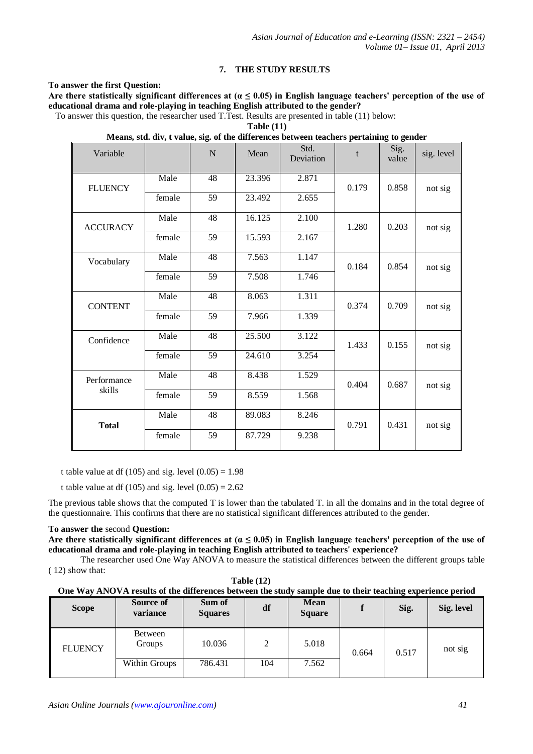# **7. THE STUDY RESULTS**

**To answer the first Question:**

Are there statistically significant differences at  $(a \leq 0.05)$  in English language teachers' perception of the use of **educational drama and role-playing in teaching English attributed to the gender?** 

To answer this question, the researcher used T.Test. Results are presented in table (11) below:

**Table (11)**

**Means, std. div, t value, sig. of the differences between teachers pertaining to gender**

| Variable              |        | N               | Mean   | Std.<br>Deviation | t     | Sig.<br>value | sig. level |
|-----------------------|--------|-----------------|--------|-------------------|-------|---------------|------------|
| <b>FLUENCY</b>        | Male   | 48              | 23.396 | 2.871             | 0.179 | 0.858         | not sig    |
|                       | female | 59              | 23.492 | 2.655             |       |               |            |
| <b>ACCURACY</b>       | Male   | 48              | 16.125 | 2.100             | 1.280 | 0.203         | not sig    |
|                       | female | 59              | 15.593 | 2.167             |       |               |            |
| Vocabulary            | Male   | 48              | 7.563  | 1.147             | 0.184 | 0.854         | not sig    |
|                       | female | 59              | 7.508  | 1.746             |       |               |            |
| <b>CONTENT</b>        | Male   | 48              | 8.063  | 1.311             | 0.374 | 0.709         | not sig    |
|                       | female | 59              | 7.966  | 1.339             |       |               |            |
| Confidence            | Male   | 48              | 25.500 | 3.122             | 1.433 | 0.155         | not sig    |
|                       | female | $\overline{59}$ | 24.610 | 3.254             |       |               |            |
| Performance<br>skills | Male   | 48              | 8.438  | 1.529             | 0.404 | 0.687         | not sig    |
|                       | female | 59              | 8.559  | 1.568             |       |               |            |
| <b>Total</b>          | Male   | 48              | 89.083 | 8.246             | 0.791 | 0.431         | not sig    |
|                       | female | 59              | 87.729 | 9.238             |       |               |            |
|                       |        |                 |        |                   |       |               |            |

t table value at df (105) and sig. level  $(0.05) = 1.98$ 

t table value at df (105) and sig. level  $(0.05) = 2.62$ 

The previous table shows that the computed T is lower than the tabulated T. in all the domains and in the total degree of the questionnaire. This confirms that there are no statistical significant differences attributed to the gender.

## **To answer the** second **Question:**

**Are there statistically significant differences at (α ≤ 0.05) in English language teachers' perception of the use of educational drama and role-playing in teaching English attributed to teachers' experience?** 

The researcher used One Way ANOVA to measure the statistical differences between the different groups table

( 12) show that:

| <b>Table (12)</b> |  |
|-------------------|--|
|                   |  |

| One Way ANOVA results of the differences between the study sample due to their teaching experience period |  |
|-----------------------------------------------------------------------------------------------------------|--|
|                                                                                                           |  |

| <b>Scope</b>   | Source of<br>variance | Sum of<br><b>Squares</b> | df  | <b>Mean</b><br><b>Square</b> |       | Sig.  | Sig. level |
|----------------|-----------------------|--------------------------|-----|------------------------------|-------|-------|------------|
| <b>FLUENCY</b> | Between<br>Groups     | 10.036                   | 2   | 5.018                        | 0.664 | 0.517 | not sig    |
|                | Within Groups         | 786.431                  | 104 | 7.562                        |       |       |            |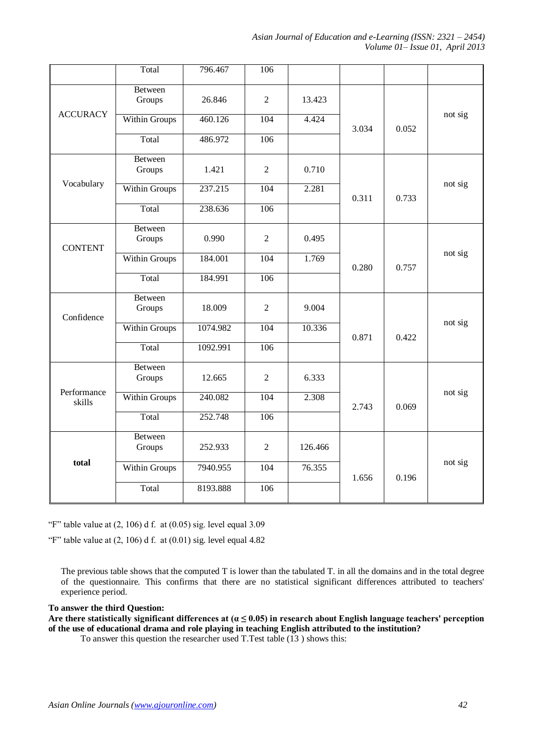*Asian Journal of Education and e-Learning (ISSN: 2321 – 2454) Volume 01– Issue 01, April 2013*

|                       | Total                    | 796.467  | 106            |         |       |       |         |
|-----------------------|--------------------------|----------|----------------|---------|-------|-------|---------|
|                       | Between<br>Groups        | 26.846   | $\overline{2}$ | 13.423  |       |       |         |
| <b>ACCURACY</b>       | <b>Within Groups</b>     | 460.126  | 104            | 4.424   | 3.034 | 0.052 | not sig |
|                       | Total                    | 486.972  | 106            |         |       |       |         |
|                       | Between<br>Groups        | 1.421    | $\overline{2}$ | 0.710   |       |       |         |
| Vocabulary            | <b>Within Groups</b>     | 237.215  | 104            | 2.281   | 0.311 | 0.733 | not sig |
|                       | Total                    | 238.636  | 106            |         |       |       |         |
| <b>CONTENT</b>        | Between<br>Groups        | 0.990    | $\overline{2}$ | 0.495   |       |       |         |
|                       | Within Groups            | 184.001  | 104            | 1.769   | 0.280 | 0.757 | not sig |
|                       | Total                    | 184.991  | 106            |         |       |       |         |
| Confidence            | Between<br>Groups        | 18.009   | $\overline{2}$ | 9.004   |       |       |         |
|                       | Within Groups            | 1074.982 | 104            | 10.336  | 0.871 | 0.422 | not sig |
|                       | Total                    | 1092.991 | 106            |         |       |       |         |
|                       | Between<br>Groups        | 12.665   | $\overline{2}$ | 6.333   |       |       |         |
| Performance<br>skills | Within Groups            | 240.082  | 104            | 2.308   | 2.743 | 0.069 | not sig |
|                       | Total                    | 252.748  | 106            |         |       |       |         |
|                       | <b>Between</b><br>Groups | 252.933  | $\overline{2}$ | 126.466 |       |       |         |
| total                 | Within Groups            | 7940.955 | 104            | 76.355  | 1.656 | 0.196 | not sig |
|                       | Total                    | 8193.888 | 106            |         |       |       |         |

"F" table value at  $(2, 106)$  d f. at  $(0.05)$  sig. level equal 3.09

"F" table value at  $(2, 106)$  d f. at  $(0.01)$  sig. level equal 4.82

The previous table shows that the computed T is lower than the tabulated T. in all the domains and in the total degree of the questionnaire. This confirms that there are no statistical significant differences attributed to teachers' experience period.

## **To answer the third Question:**

Are there statistically significant differences at  $(a \le 0.05)$  in research about English language teachers' perception **of the use of educational drama and role playing in teaching English attributed to the institution?** 

To answer this question the researcher used T.Test table (13 ) shows this: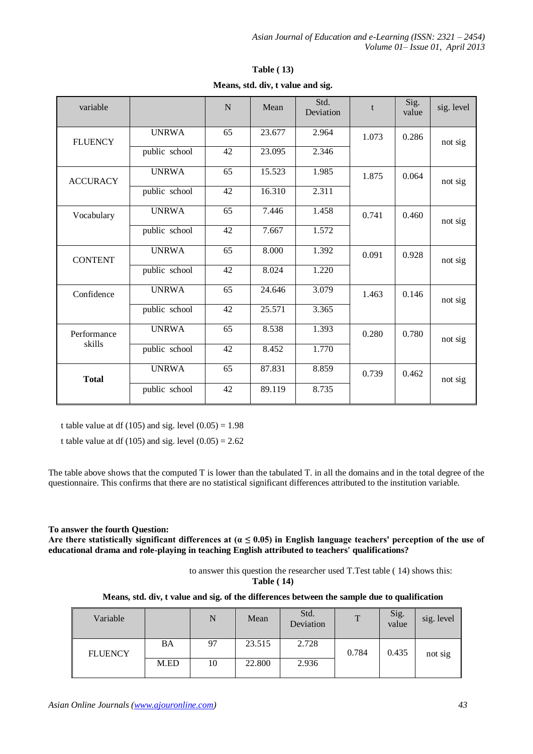| variable        |               | N               | Mean   | Std.<br>Deviation | t     | Sig.<br>value | sig. level |
|-----------------|---------------|-----------------|--------|-------------------|-------|---------------|------------|
| <b>FLUENCY</b>  | <b>UNRWA</b>  | 65              | 23.677 | 2.964             | 1.073 | 0.286         | not sig    |
|                 | public school | 42              | 23.095 | 2.346             |       |               |            |
| <b>ACCURACY</b> | <b>UNRWA</b>  | $\overline{65}$ | 15.523 | 1.985             | 1.875 | 0.064         | not sig    |
|                 | public school | 42              | 16.310 | 2.311             |       |               |            |
| Vocabulary      | <b>UNRWA</b>  | 65              | 7.446  | 1.458             | 0.741 | 0.460         | not sig    |
|                 | public school | 42              | 7.667  | 1.572             |       |               |            |
| <b>CONTENT</b>  | <b>UNRWA</b>  | 65              | 8.000  | 1.392             | 0.091 | 0.928         | not sig    |
|                 | public school | 42              | 8.024  | 1.220             |       |               |            |
| Confidence      | <b>UNRWA</b>  | 65              | 24.646 | 3.079             | 1.463 | 0.146         | not sig    |
|                 | public school | 42              | 25.571 | 3.365             |       |               |            |
| Performance     | <b>UNRWA</b>  | $\overline{65}$ | 8.538  | 1.393             | 0.280 | 0.780         | not sig    |
| skills          | public school | 42              | 8.452  | 1.770             |       |               |            |
| <b>Total</b>    | <b>UNRWA</b>  | 65              | 87.831 | 8.859             | 0.739 | 0.462         | not sig    |
|                 | public school | 42              | 89.119 | 8.735             |       |               |            |

|                                   |  | <b>Table</b> (13) |  |
|-----------------------------------|--|-------------------|--|
| Means, std. div, t value and sig. |  |                   |  |

t table value at df (105) and sig. level  $(0.05) = 1.98$ 

t table value at df (105) and sig. level  $(0.05) = 2.62$ 

The table above shows that the computed T is lower than the tabulated T. in all the domains and in the total degree of the questionnaire. This confirms that there are no statistical significant differences attributed to the institution variable.

# **To answer the fourth Question:**

Are there statistically significant differences at  $\alpha \leq 0.05$  in English language teachers' perception of the use of **educational drama and role-playing in teaching English attributed to teachers' qualifications?** 

> to answer this question the researcher used T.Test table ( 14) shows this: **Table ( 14)**

**Means, std. div, t value and sig. of the differences between the sample due to qualification** 

| Variable       |      | N  | Mean   | Std.<br>Deviation | $\mathbf{T}$ | Sig.<br>value | sig. level |
|----------------|------|----|--------|-------------------|--------------|---------------|------------|
| <b>FLUENCY</b> | BA   | 97 | 23.515 | 2.728             | 0.784        | 0.435         | not sig    |
|                | M.ED | 10 | 22.800 | 2.936             |              |               |            |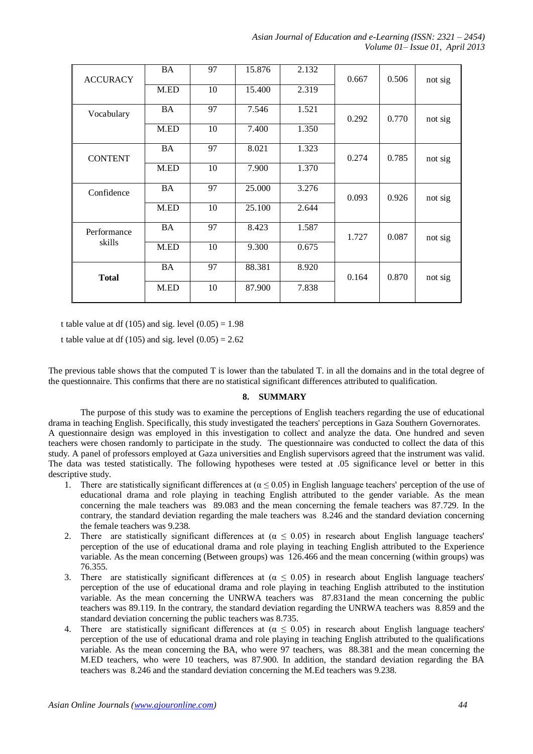| <b>ACCURACY</b> | <b>BA</b> | 97 | 15.876 | 2.132 | 0.667 | 0.506 | not sig |
|-----------------|-----------|----|--------|-------|-------|-------|---------|
|                 | M.ED      | 10 | 15.400 | 2.319 |       |       |         |
| Vocabulary      | <b>BA</b> | 97 | 7.546  | 1.521 | 0.292 | 0.770 | not sig |
|                 | M.ED      | 10 | 7.400  | 1.350 |       |       |         |
| <b>CONTENT</b>  | <b>BA</b> | 97 | 8.021  | 1.323 | 0.274 | 0.785 | not sig |
|                 | M.ED      | 10 | 7.900  | 1.370 |       |       |         |
| Confidence      | <b>BA</b> | 97 | 25.000 | 3.276 | 0.093 | 0.926 | not sig |
|                 | M.ED      | 10 | 25.100 | 2.644 |       |       |         |
| Performance     | <b>BA</b> | 97 | 8.423  | 1.587 | 1.727 | 0.087 | not sig |
| skills          | M.ED      | 10 | 9.300  | 0.675 |       |       |         |
| <b>Total</b>    | <b>BA</b> | 97 | 88.381 | 8.920 | 0.164 | 0.870 | not sig |
|                 | M.ED      | 10 | 87.900 | 7.838 |       |       |         |

t table value at df (105) and sig. level  $(0.05) = 1.98$ 

t table value at df (105) and sig. level  $(0.05) = 2.62$ 

The previous table shows that the computed T is lower than the tabulated T. in all the domains and in the total degree of the questionnaire. This confirms that there are no statistical significant differences attributed to qualification.

# **8. SUMMARY**

The purpose of this study was to examine the perceptions of English teachers regarding the use of educational drama in teaching English. Specifically, this study investigated the teachers' perceptions in Gaza Southern Governorates. A questionnaire design was employed in this investigation to collect and analyze the data. One hundred and seven teachers were chosen randomly to participate in the study. The questionnaire was conducted to collect the data of this study. A panel of professors employed at Gaza universities and English supervisors agreed that the instrument was valid. The data was tested statistically. The following hypotheses were tested at .05 significance level or better in this descriptive study.

- 1. There are statistically significant differences at ( $\alpha \le 0.05$ ) in English language teachers' perception of the use of educational drama and role playing in teaching English attributed to the gender variable. As the mean concerning the male teachers was 89.083 and the mean concerning the female teachers was 87.729. In the contrary, the standard deviation regarding the male teachers was 8.246 and the standard deviation concerning the female teachers was 9.238.
- 2. There are statistically significant differences at  $(\alpha \le 0.05)$  in research about English language teachers' perception of the use of educational drama and role playing in teaching English attributed to the Experience variable. As the mean concerning (Between groups) was 126.466 and the mean concerning (within groups) was 76.355.
- 3. There are statistically significant differences at  $(\alpha \le 0.05)$  in research about English language teachers' perception of the use of educational drama and role playing in teaching English attributed to the institution variable. As the mean concerning the UNRWA teachers was 87.831and the mean concerning the public teachers was 89.119. In the contrary, the standard deviation regarding the UNRWA teachers was 8.859 and the standard deviation concerning the public teachers was 8.735.
- 4. There are statistically significant differences at  $(\alpha \le 0.05)$  in research about English language teachers' perception of the use of educational drama and role playing in teaching English attributed to the qualifications variable. As the mean concerning the BA, who were 97 teachers, was 88.381 and the mean concerning the M.ED teachers, who were 10 teachers, was 87.900. In addition, the standard deviation regarding the BA teachers was 8.246 and the standard deviation concerning the M.Ed teachers was 9.238.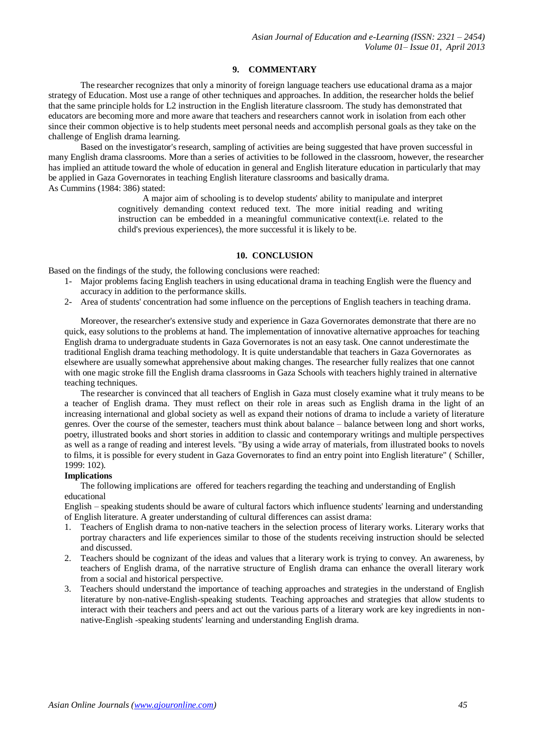# **9. COMMENTARY**

The researcher recognizes that only a minority of foreign language teachers use educational drama as a major strategy of Education. Most use a range of other techniques and approaches. In addition, the researcher holds the belief that the same principle holds for L2 instruction in the English literature classroom. The study has demonstrated that educators are becoming more and more aware that teachers and researchers cannot work in isolation from each other since their common objective is to help students meet personal needs and accomplish personal goals as they take on the challenge of English drama learning.

Based on the investigator's research, sampling of activities are being suggested that have proven successful in many English drama classrooms. More than a series of activities to be followed in the classroom, however, the researcher has implied an attitude toward the whole of education in general and English literature education in particularly that may be applied in Gaza Governorates in teaching English literature classrooms and basically drama. As Cummins (1984: 386) stated:

> A major aim of schooling is to develop students' ability to manipulate and interpret cognitively demanding context reduced text. The more initial reading and writing instruction can be embedded in a meaningful communicative context(i.e. related to the child's previous experiences), the more successful it is likely to be.

#### **10. CONCLUSION**

Based on the findings of the study, the following conclusions were reached:

- 1- Major problems facing English teachers in using educational drama in teaching English were the fluency and accuracy in addition to the performance skills.
- 2- Area of students' concentration had some influence on the perceptions of English teachers in teaching drama.

Moreover, the researcher's extensive study and experience in Gaza Governorates demonstrate that there are no quick, easy solutions to the problems at hand. The implementation of innovative alternative approaches for teaching English drama to undergraduate students in Gaza Governorates is not an easy task. One cannot underestimate the traditional English drama teaching methodology. It is quite understandable that teachers in Gaza Governorates as elsewhere are usually somewhat apprehensive about making changes. The researcher fully realizes that one cannot with one magic stroke fill the English drama classrooms in Gaza Schools with teachers highly trained in alternative teaching techniques.

The researcher is convinced that all teachers of English in Gaza must closely examine what it truly means to be a teacher of English drama. They must reflect on their role in areas such as English drama in the light of an increasing international and global society as well as expand their notions of drama to include a variety of literature genres. Over the course of the semester, teachers must think about balance – balance between long and short works, poetry, illustrated books and short stories in addition to classic and contemporary writings and multiple perspectives as well as a range of reading and interest levels. "By using a wide array of materials, from illustrated books to novels to films, it is possible for every student in Gaza Governorates to find an entry point into English literature" ( Schiller, 1999: 102).

# **Implications**

The following implications are offered for teachers regarding the teaching and understanding of English educational

English – speaking students should be aware of cultural factors which influence students' learning and understanding of English literature. A greater understanding of cultural differences can assist drama:

- 1. Teachers of English drama to non-native teachers in the selection process of literary works. Literary works that portray characters and life experiences similar to those of the students receiving instruction should be selected and discussed.
- 2. Teachers should be cognizant of the ideas and values that a literary work is trying to convey. An awareness, by teachers of English drama, of the narrative structure of English drama can enhance the overall literary work from a social and historical perspective.
- 3. Teachers should understand the importance of teaching approaches and strategies in the understand of English literature by non-native-English-speaking students. Teaching approaches and strategies that allow students to interact with their teachers and peers and act out the various parts of a literary work are key ingredients in nonnative-English -speaking students' learning and understanding English drama.